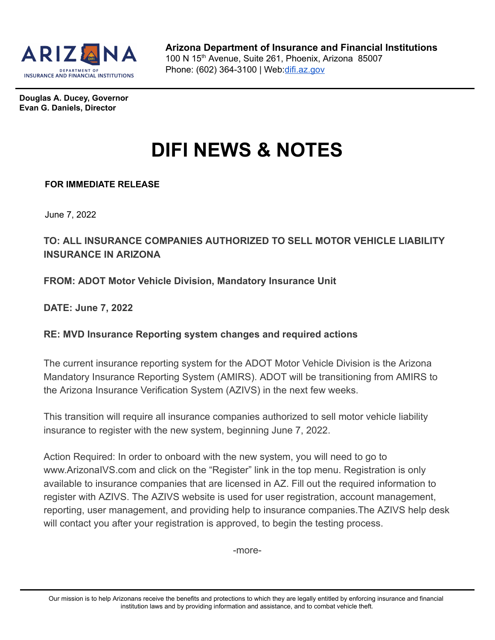

**Douglas A. Ducey, Governor Evan G. Daniels, Director**

## **DIFI NEWS & NOTES**

## **FOR IMMEDIATE RELEASE**

June 7, 2022

## **TO: ALL INSURANCE COMPANIES AUTHORIZED TO SELL MOTOR VEHICLE LIABILITY INSURANCE IN ARIZONA**

**FROM: ADOT Motor Vehicle Division, Mandatory Insurance Unit**

**DATE: June 7, 2022**

## **RE: MVD Insurance Reporting system changes and required actions**

The current insurance reporting system for the ADOT Motor Vehicle Division is the Arizona Mandatory Insurance Reporting System (AMIRS). ADOT will be transitioning from AMIRS to the Arizona Insurance Verification System (AZIVS) in the next few weeks.

This transition will require all insurance companies authorized to sell motor vehicle liability insurance to register with the new system, beginning June 7, 2022.

Action Required: In order to onboard with the new system, you will need to go to www.ArizonaIVS.com and click on the "Register" link in the top menu. Registration is only available to insurance companies that are licensed in AZ. Fill out the required information to register with AZIVS. The AZIVS website is used for user registration, account management, reporting, user management, and providing help to insurance companies.The AZIVS help desk will contact you after your registration is approved, to begin the testing process.

-more-